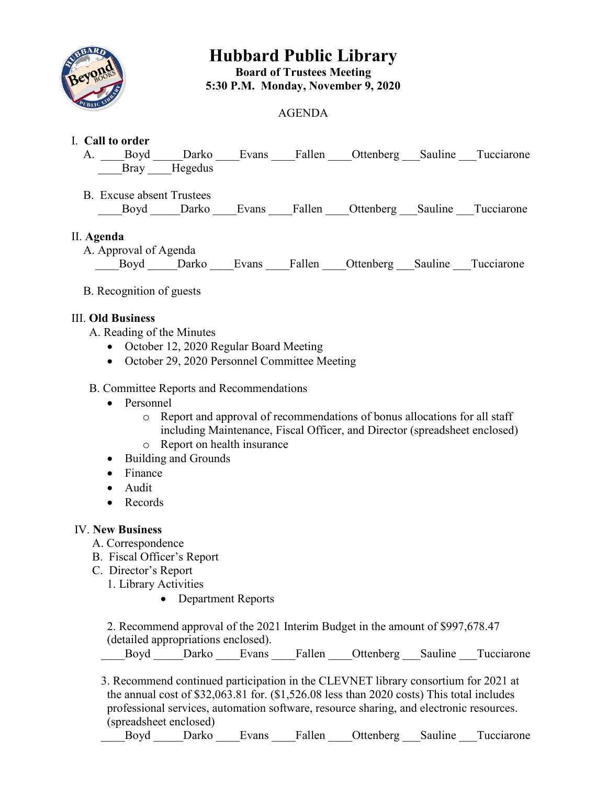

# **Hubbard Public Library Board of Trustees Meeting 5:30 P.M. Monday, November 9, 2020**

## AGENDA

### I. **Call to order**

- A. Boyd Darko Evans Fallen Ottenberg Sauline Tucciarone Bray Hegedus
- B. Excuse absent Trustees Boyd Darko Evans Fallen Ottenberg Sauline Tucciarone

#### II. **Agenda**

 A. Approval of Agenda Boyd Darko Evans Fallen Ottenberg Sauline Tucciarone

## B. Recognition of guests

#### III. **Old Business**

A. Reading of the Minutes

- October 12, 2020 Regular Board Meeting
- October 29, 2020 Personnel Committee Meeting

### B. Committee Reports and Recommendations

- Personnel
	- o Report and approval of recommendations of bonus allocations for all staff including Maintenance, Fiscal Officer, and Director (spreadsheet enclosed)
	- o Report on health insurance
- Building and Grounds
- Finance
- Audit
- Records

#### IV. **New Business**

- A. Correspondence
- B. Fiscal Officer's Report
- C. Director's Report
	- 1. Library Activities
		- Department Reports

2. Recommend approval of the 2021 Interim Budget in the amount of \$997,678.47 (detailed appropriations enclosed).

Boyd Darko Evans Fallen Ottenberg Sauline Tucciarone

 3. Recommend continued participation in the CLEVNET library consortium for 2021 at the annual cost of \$32,063.81 for. (\$1,526.08 less than 2020 costs) This total includes professional services, automation software, resource sharing, and electronic resources. (spreadsheet enclosed)

Boyd Darko Evans Fallen Ottenberg Sauline Tucciarone